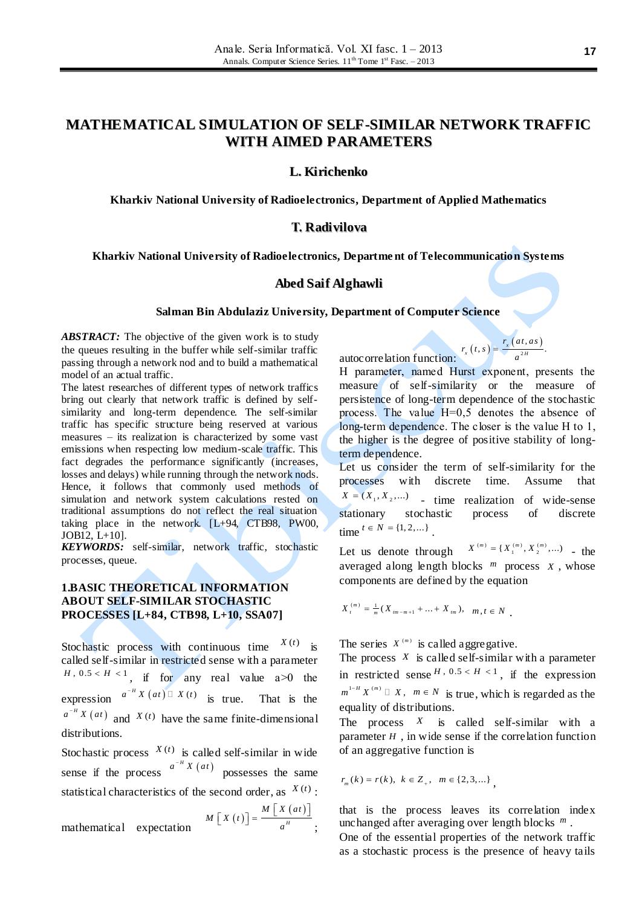# **MATHEMATICAL SIMULATION OF SELF-SIMILAR NETWORK TRAFFIC WITH AIMED PARAMETERS**

### **L. Kirichenko**

**Kharkiv National University of Radioelectronics, Department of Applied Mathematics**

### **Т. Radivilova**

#### **Kharkiv National University of Radioelectronics, Departme nt of Telecommunication Systems**

#### **Abed Saif Alghawli**

#### **Salman Bin Abdulaziz University, Department of Computer Science**

*ABSTRACT:* The objective of the given work is to study the queues resulting in the buffer while self-similar traffic passing through a network nod and to build a mathematical model of an actual traffic.

The latest researches of different types of network traffics bring out clearly that network traffic is defined by selfsimilarity and long-term dependence. The self-similar traffic has specific structure being reserved at various measures – its realization is characterized by some vast emissions when respecting low medium-scale traffic. This fact degrades the performance significantly (increases, losses and delays) while running through the network nods. Hence, it follows that commonly used methods of simulation and network system calculations rested on traditional assumptions do not reflect the real situation taking place in the network. [L+94, CTB98, PW00, JOB12, L+10].

*KEYWORDS:* self-similar, network traffic, stochastic processes, queue.

### **1.BASIC THEORETICAL INFORMATION ABOUT SELF-SIMILAR STOCHASTIC PROCESSES [L+84, CTB98, L+10, SSA07]**

Stochastic process with continuous time  $X(t)$  is called self-similar in restricted sense with a parameter  $H$ ,  $0.5 < H < 1$ , if for any real value a > 0 the expression  $a^{-H} X(at) \square X(t)$  is true. That is the  $a^{-H} X(at)$  and  $X(t)$  have the same finite-dimensional distributions.

Stochastic process  $X(t)$  is called self-similar in wide sense if the process  $a^{-H} X(at)$  possesses the same statistical characteristics of the second order, as  $X(t)$ :

mathematical expectation 
$$
M\left[X(t)\right] = \frac{M\left[X(at)\right]}{a^n}
$$
;

autocorrelation function:  $r_x(t,s) = \frac{r_x(at,as)}{a^{2H}}$  $r_{x}(t,s) = \frac{r_{x}(at,as)}{a^{2H}}$ 

Н parameter, named Hurst exponent, presents the measure of self-similarity or the measure of persistence of long-term dependence of the stochastic process. The value Н=0,5 denotes the absence of long-term dependence. The closer is the value Н to 1, the higher is the degree of positive stability of longterm dependence.

2  $f_x(t,s) = \frac{r_x(at,as)}{a^{2H}}.$ 

Let us consider the term of self-similarity for the processes with discrete time. Assume that  $X = (X_1, X_2, ...)$  - time realization of wide-sense stationary stochastic process of discrete time  $t \in N = \{1, 2, ...\}$ .

Let us denote through  $X^{(m)} = \{X_1^{(m)}, X_2^{(m)}, ...\}$  - the averaged along length blocks  $<sup>m</sup>$  process  $X$ , whose</sup> components are defined by the equation

 $X_t^{(m)} = \frac{1}{m}(X_{tm-m+1} + ... + X_{tm}), m, t \in N$ .

The series  $X^{(m)}$  is called aggregative.

The process  $X$  is called self-similar with a parameter in restricted sense  $^{H}$ ,  $0.5 < H < 1$ , if the expression  $m^{1-H} X^{(m)} \square X$ ,  $m \in N$  is true, which is regarded as the equality of distributions.

The process  $X$  is called self-similar with a parameter  $H$ , in wide sense if the correlation function of an aggregative function is

$$
r_m(k) = r(k), \ k \in Z_+, \ m \in \{2, 3, \dots\},
$$

;

that is the process leaves its correlation index unchanged after averaging over length blocks *m* .

One of the essential properties of the network traffic as a stochastic process is the presence of heavy tails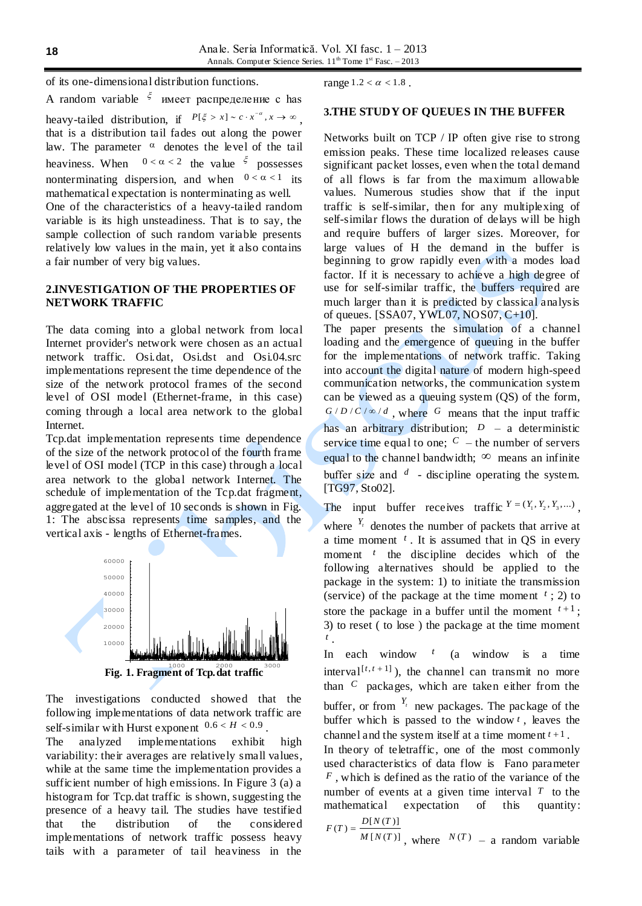of its one-dimensional distribution functions.

A random variable  $\zeta$  имеет распределение с has heavy-tailed distribution, if  $P[\xi > x] \sim c \cdot x^{-\alpha}, x \to \infty$ , that is a distribution tail fades out along the power law. The parameter  $\alpha$  denotes the level of the tail heaviness. When  $0 < \alpha < 2$  the value  $\zeta$  possesses nonterminating dispersion, and when  $0 < \alpha < 1$  its mathematical expectation is nonterminating as well.

One of the characteristics of a heavy-tailed random variable is its high unsteadiness. That is to say, the sample collection of such random variable presents relatively low values in the main, yet it also contains a fair number of very big values.

# **2.INVESTIGATION OF THE PROPERTIES OF NETWORK TRAFFIC**

The data coming into a global network from local Internet provider's network were chosen as an actual network traffic. Osi.dat, Osi.dst and Osi.04.src implementations represent the time dependence of the size of the network protocol frames of the second level of OSI model (Ethernet-frame, in this case) coming through a local area network to the global Internet.

Tcp.dat implementation represents time dependence of the size of the network protocol of the fourth frame level of OSI model (TCP in this case) through a local area network to the global network Internet. The schedule of implementation of the Tcp.dat fragment, aggregated at the level of 10 seconds is shown in Fig. 1: The abscissa represents time samples, and the vertical axis - lengths of Ethernet-frames.



**Fig. 1. Fragment of Tcp. dat traffic** 

The investigations conducted showed that the following implementations of data network traffic are self-similar with Hurst exponent  $0.6 < H < 0.9$ .

The analyzed implementations exhibit high variability: their averages are relatively small values, while at the same time the implementation provides a sufficient number of high emissions. In Figure 3 (a) a histogram for Tcp.dat traffic is shown, suggesting the presence of a heavy tail. The studies have testified that the distribution of the considered implementations of network traffic possess heavy tails with a parameter of tail heaviness in the

range  $1.2 < \alpha < 1.8$ .

# **3.THE STUDY OF QUEUES IN THE BUFFER**

Networks built on TCP / IP often give rise to strong emission peaks. These time localized releases cause significant packet losses, even when the total demand of all flows is far from the maximum allowable values. Numerous studies show that if the input traffic is self-similar, then for any multiplexing of self-similar flows the duration of delays will be high and require buffers of larger sizes. Moreover, for large values of H the demand in the buffer is beginning to grow rapidly even with a modes load factor. If it is necessary to achieve a high degree of use for self-similar traffic, the buffers required are much larger than it is predicted by classical analysis of queues. [SSA07, YWL07, NOS07, C+10].

The paper presents the simulation of a channel loading and the emergence of queuing in the buffer for the implementations of network traffic. Taking into account the digital nature of modern high-speed communication networks, the communication system can be viewed as a queuing system (QS) of the form,  $G/D/C/\infty/d$ , where G means that the input traffic has an arbitrary distribution;  $D - a$  deterministic service time equal to one;  $C$  – the number of servers equal to the channel bandwidth;  $\infty$  means an infinite buffer size and  $d$  - discipline operating the system. [TG97, Sto02].

The input buffer receives traffic  $Y = (Y_1, Y_2, Y_3, ...)$ ,

where  $Y_t$  denotes the number of packets that arrive at a time moment  $<sup>t</sup>$ . It is assumed that in QS in every</sup> moment <sup>t</sup> the discipline decides which of the following alternatives should be applied to the package in the system: 1) to initiate the transmission (service) of the package at the time moment  $<sup>t</sup>$ ; 2) to</sup> store the package in a buffer until the moment  $t+1$ ; 3) to reset ( to lose ) the package at the time moment *t* .

In each window *t* (a window is a time interval<sup>[ $t, t+1$ ]), the channel can transmit no more</sup> than *C* packages, which are taken either from the buffer, or from  $Y_t$  new packages. The package of the buffer which is passed to the window *t* , leaves the channel and the system itself at a time moment  $t+1$ .

In theory of teletraffic, one of the most commonly used characteristics of data flow is Fano parameter *F* , which is defined as the ratio of the variance of the number of events at a given time interval  $T$  to the mathematical expectation of this quantity:

$$
F(T) = \frac{D[N(T)]}{M[N(T)]}
$$
, where  $N(T) = a$  random variable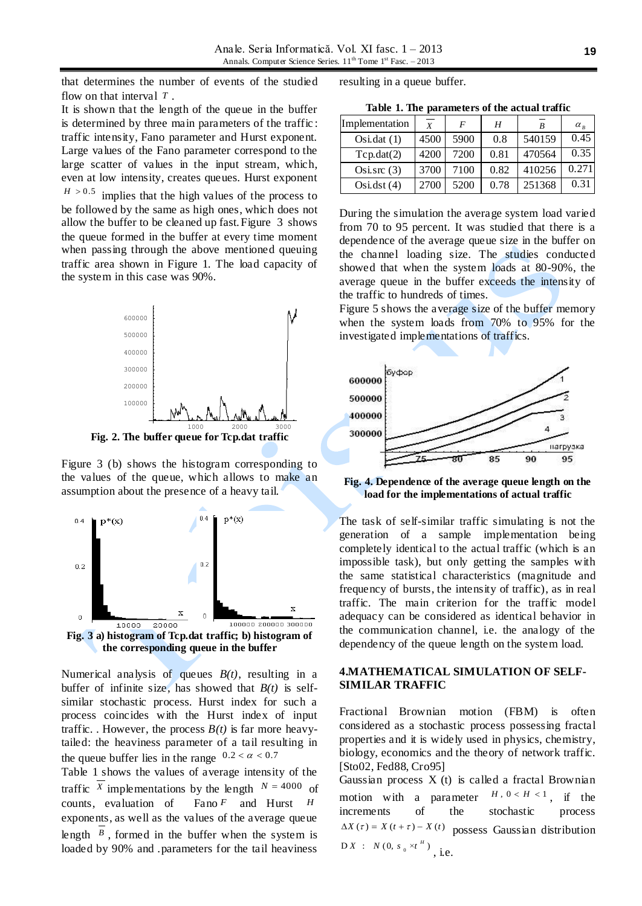that determines the number of events of the studied flow on that interval *T* .

It is shown that the length of the queue in the buffer is determined by three main parameters of the traffic : traffic intensity, Fano parameter and Hurst exponent. Large values of the Fano parameter correspond to the large scatter of values in the input stream, which, even at low intensity, creates queues. Hurst exponent  $H > 0.5$ implies that the high values of the process to be followed by the same as high ones, which does not allow the buffer to be cleaned up fast.Figure 3 shows the queue formed in the buffer at every time moment when passing through the above mentioned queuing traffic area shown in Figure 1. The load capacity of the system in this case was 90%.



**Fig. 2. The buffer queue for Tcp.dat traffic**

Figure 3 (b) shows the histogram corresponding to the values of the queue, which allows to make an assumption about the presence of a heavy tail.



Numerical analysis of queues *B(t)*, resulting in a buffer of infinite size, has showed that  $B(t)$  is selfsimilar stochastic process. Hurst index for such a process coincides with the Hurst index of input traffic. . However, the process  $B(t)$  is far more heavytailed: the heaviness parameter of a tail resulting in the queue buffer lies in the range  $0.2 < \alpha < 0.7$ 

Table 1 shows the values of average intensity of the traffic *X* implementations by the length  $N = 4000$  of counts, evaluation of *F* and Hurst *H* exponents, as well as the values of the average queue length  $\beta$ , formed in the buffer when the system is loaded by 90% and .parameters for the tail heaviness

resulting in a queue buffer.

**Table 1. The parameters of the actual traffic**

| Implementation | $\boldsymbol{X}$ | F    | Н    | R      | $\alpha_{\nu}$ |
|----------------|------------------|------|------|--------|----------------|
| Osi.dat(1)     | 4500             | 5900 | 0.8  | 540159 | 0.45           |
| Tcp.data(2)    | 4200             | 7200 | 0.81 | 470564 | 0.35           |
| Osi.src $(3)$  | 3700             | 7100 | 0.82 | 410256 | 0.271          |
| Osi.dst(4)     | 2700             | 5200 | 0.78 | 251368 | 0.31           |

During the simulation the average system load varied from 70 to 95 percent. It was studied that there is a dependence of the average queue size in the buffer on the channel loading size. The studies conducted showed that when the system loads at 80-90%, the average queue in the buffer exceeds the intensity of the traffic to hundreds of times.

Figure 5 shows the average size of the buffer memory when the system loads from 70% to 95% for the investigated implementations of traffics.



**Fig. 4. Dependence of the average queue length on the load for the implementations of actual traffic**

The task of self-similar traffic simulating is not the generation of a sample implementation being completely identical to the actual traffic (which is an impossible task), but only getting the samples with the same statistical characteristics (magnitude and frequency of bursts, the intensity of traffic), as in real traffic. The main criterion for the traffic model adequacy can be considered as identical behavior in the communication channel, i.e. the analogy of the dependency of the queue length on the system load.

## **4.MATHEMATICAL SIMULATION OF SELF-SIMILAR TRAFFIC**

Fractional Brownian motion (FBM) is often considered as a stochastic process possessing fractal properties and it is widely used in physics, chemistry, biology, economics and the theory of network traffic. [Sto02, Fed88, Cro95]

Gaussian process X (t) is called a fractal Brownian motion with a parameter  $H, 0 < H < 1$ , if the increments of the stochastic process  $\Delta X$  (*t*) = *X* (*t* + *t*) – *X* (*t*) possess Gaussian distribution  $DX : N(0, s_0 \times t^H)$ , i.e.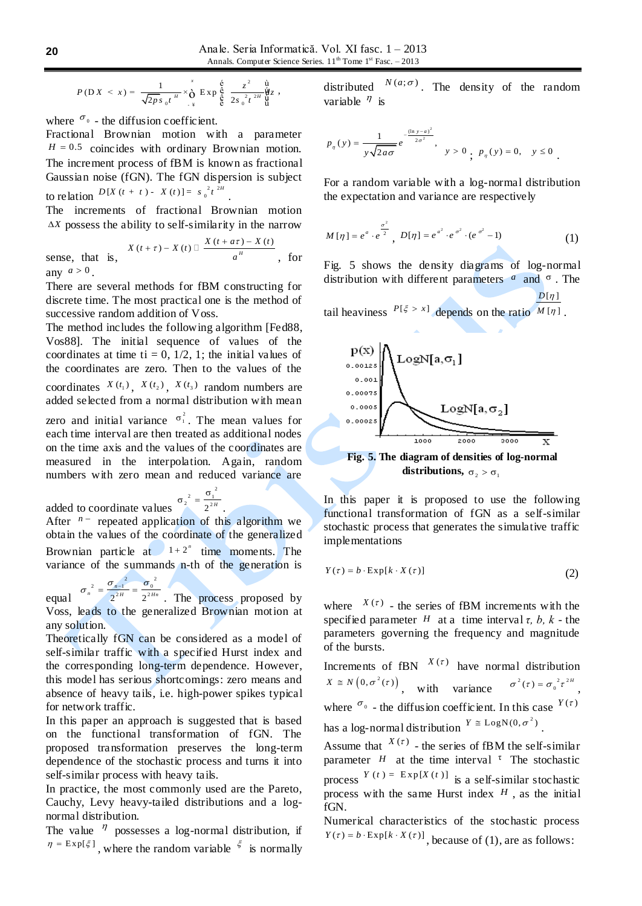$$
P(D X < x) = \frac{1}{\sqrt{2p s_0 t^{\frac{H}{n}}}} \times \bigg( \sum_{x}^{x} E x p \bigg) \frac{\xi}{\xi} \frac{z^2}{2s_0^2 t^{\frac{2H}{n}}} \bigg) \frac{\dot{\Psi}}{\Psi} z,
$$

where  $\sigma_0$  - the diffusion coefficient.

Fractional Brownian motion with a parameter  $H = 0.5$  coincides with ordinary Brownian motion. The increment process of fBM is known as fractional Gaussian noise (fGN). The fGN dispersion is subject to relation  $D[X(t + t) - X(t)] = s_0^2 t^{\frac{2H}{t}}$ .

The increments of fractional Brownian motion *X* possess the ability to self-similarity in the narrow

$$
X(t+\tau) - X(t) \Box \frac{X(t+\tau) - X(t)}{a^{H}}, \text{ for}
$$
  
any  $a > 0$ .

There are several methods for fBM constructing for discrete time. The most practical one is the method of successive random addition of Voss.

The method includes the following algorithm [Fed88, Vos88]. The initial sequence of values of the coordinates at time ti = 0,  $1/2$ , 1; the initial values of the coordinates are zero. Then to the values of the coordinates  $X(t_1)$ ,  $X(t_2)$ ,  $X(t_3)$  random numbers are added selected from a normal distribution with mean

zero and initial variance  $\sigma_1^2$ . The mean values for each time interval are then treated as additional nodes on the time axis and the values of the coordinates are measured in the interpolation. Again, random numbers with zero mean and reduced variance are

added to coordinate values  $\frac{2}{2^2} = \frac{\sigma_1^2}{2^{2H}}$  $\sigma_2^2 = \frac{\sigma}{2}$ . After  $n -$  repeated application of this algorithm we obtain the values of the coordinate of the generalized Brownian particle at  $1 + 2^n$  time moments. The variance of the summands n-th of the generation is

equal  $\sigma_n^2 = \frac{\sigma_{n-1}^2}{2^{2H}} = \frac{\sigma_0^2}{2^{2Hn}}$  $\sigma_n^2 = \frac{\sigma_{n-1}^2}{2^{2H}} = \frac{\sigma_0^2}{2^{2Hn}}$ . The process proposed by Voss, leads to the generalized Brownian motion at any solution.

Theoretically fGN can be considered as a model of self-similar traffic with a specified Hurst index and the corresponding long-term dependence. However, this model has serious shortcomings: zero means and absence of heavy tails, i.e. high-power spikes typical for network traffic.

In this paper an approach is suggested that is based on the functional transformation of fGN. The proposed transformation preserves the long-term dependence of the stochastic process and turns it into self-similar process with heavy tails.

In practice, the most commonly used are the Pareto, Cauchy, Levy heavy-tailed distributions and a lognormal distribution.

The value  $\eta$  possesses a log-normal distribution, if  $\eta = \text{Exp}[\xi]$ , where the random variable  $\zeta$  is normally distributed  $N(a; \sigma)$ . The density of the random variable  $\eta$  is

$$
p_{\eta}(y) = \frac{1}{y\sqrt{2a\sigma}}e^{-\frac{(\ln y - a)^{2}}{2\sigma^{2}}}, y > 0, p_{\eta}(y) = 0, y \le 0.
$$

For a random variable with a log-normal distribution the expectation and variance are respectively

$$
M[\eta] = e^a \cdot e^{\frac{\sigma^2}{2}}, \ D[\eta] = e^{a^2} \cdot e^{\sigma^2} \cdot (e^{\sigma^2} - 1)
$$
 (1)

Fig. 5 shows the density diagrams of log-normal distribution with different parameters  $\alpha$  and  $\sigma$ . The

tail heaviness  $P[\xi > x]$  depends on the ratio  $M[\eta]$ .  $D[\eta]$ 



In this paper it is proposed to use the following functional transformation of fGN as a self-similar stochastic process that generates the simulative traffic implementations

$$
Y(\tau) = b \cdot \text{Exp}[k \cdot X(\tau)] \tag{2}
$$

where  $X(\tau)$  - the series of fBM increments with the specified parameter  $H$  at a time interval  $\tau$ ,  $b$ ,  $k$  - the parameters governing the frequency and magnitude of the bursts.

Increments of fBN 
$$
X(\tau)
$$
 have normal distribution  $X \cong N(0, \sigma^2(\tau))$ , with variance  $\sigma^2(\tau) = \sigma_0^2 \tau^{2H}$ , where  $\sigma_0$  - the diffusion coefficient. In this case  $Y(\tau)$  has a log-normal distribution  $Y \cong \text{LogN}(0, \sigma^2)$ .

Assume that  $X^{(\tau)}$  - the series of fBM the self-similar parameter  $H$  at the time interval <sup>τ</sup> The stochastic process  $Y(t) = \text{Exp}[X(t)]$  is a self-similar stochastic process with the same Hurst index  $H$ , as the initial fGN.

Numerical characteristics of the stochastic process  $Y(\tau) = b \cdot \text{Exp}[k \cdot X(\tau)]$ , because of (1), are as follows: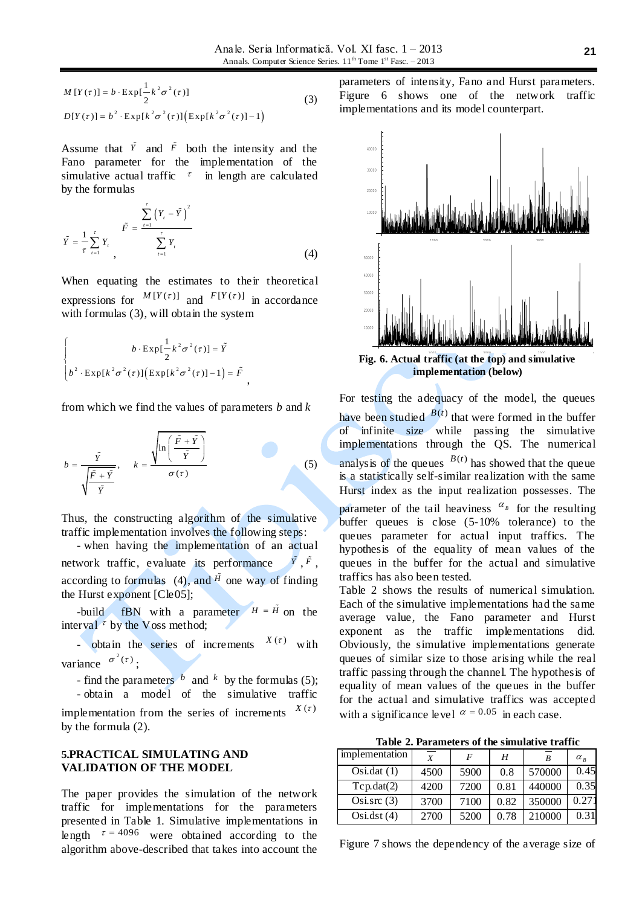$$
M[Y(\tau)] = b \cdot \operatorname{Exp}[\frac{1}{2}k^2 \sigma^2(\tau)]
$$
  
\n
$$
D[Y(\tau)] = b^2 \cdot \operatorname{Exp}[k^2 \sigma^2(\tau)][\operatorname{Exp}[k^2 \sigma^2(\tau)] - 1]
$$
\n(3)

Assume that  $\tilde{Y}$  and  $\tilde{F}$  both the intensity and the Fano parameter for the implementation of the simulative actual traffic  $\tau$  in length are calculated by the formulas

$$
\tilde{Y} = \frac{1}{\tau} \sum_{t=1}^{r} Y_t \sum_{t=1}^{F} \frac{1}{\tau} \sum_{t=1}^{T} Y_t \tag{4}
$$

When equating the estimates to their theoretical expressions for  $M[Y(\tau)]$  and  $F[Y(\tau)]$  in accordance with formulas (3), will obtain the system

$$
\begin{cases}\nb \cdot \exp\left[\frac{1}{2}k^2\sigma^2(\tau)\right] = \tilde{Y} \\
b^2 \cdot \exp[k^2\sigma^2(\tau)][\exp[k^2\sigma^2(\tau)] - 1] = \tilde{F}\n\end{cases}
$$

from which we find the values of parameters *b* and *k*

,

$$
b = \frac{\tilde{Y}}{\sqrt{\frac{\tilde{F} + \tilde{Y}}{\tilde{Y}}}}, \qquad k = \frac{\sqrt{\ln\left(\frac{\tilde{F} + \tilde{Y}}{\tilde{Y}}\right)}}{\sigma(\tau)}
$$
(5)

Thus, the constructing algorithm of the simulative traffic implementation involves the following steps:

- when having the implementation of an actual network traffic, evaluate its performance  $\tilde{Y}$ <sup> $\tilde{F}$ </sup>, according to formulas  $(4)$ , and  $\tilde{H}$  one way of finding the Hurst exponent [Cle05];

-build fBN with a parameter  $H = \tilde{H}$  on the interval  $\tau$  by the Voss method;

- obtain the series of increments  $X(\tau)$  with variance  $\sigma^2(\tau)$ ;

- find the parameters  $\overrightarrow{b}$  and  $\overrightarrow{k}$  by the formulas (5); - obtain a model of the simulative traffic

implementation from the series of increments  $X(\tau)$ by the formula (2).

#### **5.PRACTICAL SIMULATING AND VALIDATION OF THE MODEL**

The paper provides the simulation of the network traffic for implementations for the parameters presented in Table 1. Simulative implementations in length  $\tau = 4096$  were obtained according to the algorithm above-described that takes into account the

parameters of intensity, Fano and Hurst parameters. Figure 6 shows one of the network traffic implementations and its model counterpart.



**implementation (below)**

For testing the adequacy of the model, the queues have been studied  $B(t)$  that were formed in the buffer of infinite size while passing the simulative implementations through the QS. The numerical analysis of the queues  $B(t)$  has showed that the queue is a statistically self-similar realization with the same Hurst index as the input realization possesses. The

parameter of the tail heaviness  $\alpha_{\text{B}}$  for the resulting buffer queues is close (5-10% tolerance) to the queues parameter for actual input traffics. The hypothesis of the equality of mean values of the queues in the buffer for the actual and simulative traffics has also been tested.

Table 2 shows the results of numerical simulation. Each of the simulative implementations had the same average value, the Fano parameter and Hurst exponent as the traffic implementations did. Obviously, the simulative implementations generate queues of similar size to those arising while the real traffic passing through the channel. The hypothesis of equality of mean values of the queues in the buffer for the actual and simulative traffics was accepted with a significance level  $\alpha = 0.05$  in each case.

**Table 2. Parameters of the simulative traffic**

| implementation | $\boldsymbol{X}$ | F    | Н    | R      | $\alpha_{R}$ |
|----------------|------------------|------|------|--------|--------------|
| Osi.dat(1)     | 4500             | 5900 | 0.8  | 570000 | 0.45         |
| Tcp.data(2)    | 4200             | 7200 | 0.81 | 440000 | 0.35         |
| Osisrc(3)      | 3700             | 7100 | 0.82 | 350000 | 0.271        |
| Osi.dst(4)     | 2700             | 5200 | 0.78 | 210000 | 0.31         |

Figure 7 shows the dependency of the average size of